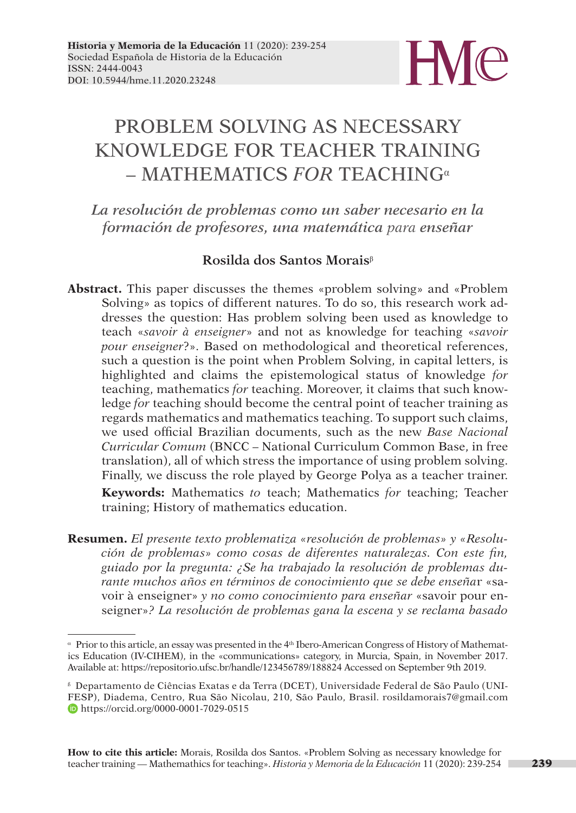

# PROBLEM SOLVING AS NECESSARY KNOWLEDGE FOR TEACHER TRAINING – MATHEMATICS *FOR* TEACHING<sup>α</sup>

*La resolución de problemas como un saber necesario en la formación de profesores, una matemática para enseñar*

## **Rosilda dos Santos Morais**<sup>β</sup>

**Abstract.** This paper discusses the themes «problem solving» and «Problem Solving» as topics of different natures. To do so, this research work addresses the question: Has problem solving been used as knowledge to teach «*savoir à enseigner*» and not as knowledge for teaching «*savoir pour enseigner*?». Based on methodological and theoretical references, such a question is the point when Problem Solving, in capital letters, is highlighted and claims the epistemological status of knowledge *for* teaching, mathematics *for* teaching. Moreover, it claims that such knowledge *for* teaching should become the central point of teacher training as regards mathematics and mathematics teaching. To support such claims, we used official Brazilian documents, such as the new *Base Nacional Curricular Comum* (BNCC – National Curriculum Common Base, in free translation), all of which stress the importance of using problem solving. Finally, we discuss the role played by George Polya as a teacher trainer.

**Keywords:** Mathematics *to* teach; Mathematics *for* teaching; Teacher training; History of mathematics education.

**Resumen.** *El presente texto problematiza «resolución de problemas» y «Resolución de problemas» como cosas de diferentes naturalezas. Con este fin, guiado por la pregunta: ¿Se ha trabajado la resolución de problemas durante muchos años en términos de conocimiento que se debe enseña*r «savoir à enseigner» *y no como conocimiento para enseñar* «savoir pour enseigner»*? La resolución de problemas gana la escena y se reclama basado* 

<sup>α</sup> Prior to this article, an essay was presented in the 4th Ibero-American Congress of History of Mathematics Education (IV-CIHEM), in the «communications» category, in Murcia, Spain, in November 2017. Available at: <https://repositorio.ufsc.br/handle/123456789/188824> Accessed on September 9th 2019.

<sup>ß</sup> Departamento de Ciências Exatas e da Terra (DCET), Universidade Federal de São Paulo (UNI-FESP), Diadema, Centro, Rua São Nicolau, 210, São Paulo, Brasil. rosildamorais7@gmail.com https://orcid.org/0000-0001-7029-0515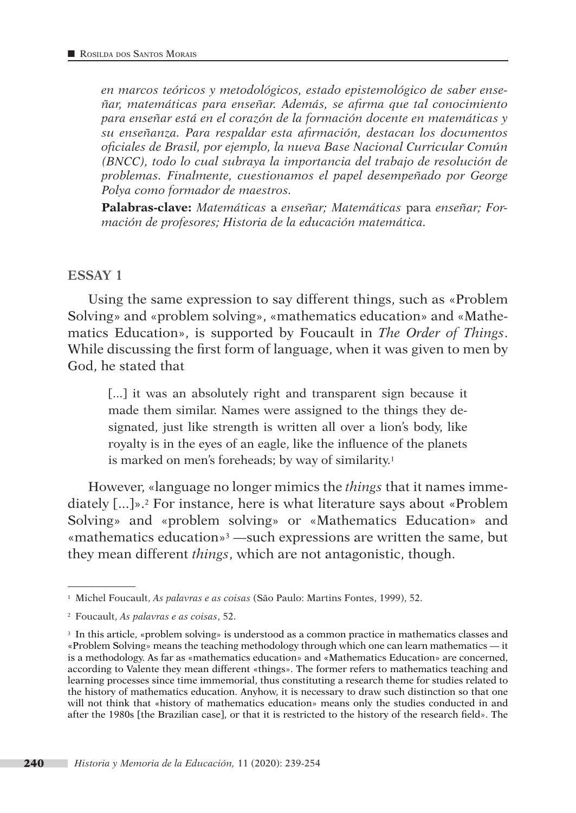*en marcos teóricos y metodológicos, estado epistemológico de saber enseñar, matemáticas para enseñar. Además, se afirma que tal conocimiento para enseñar está en el corazón de la formación docente en matemáticas y su enseñanza. Para respaldar esta afirmación, destacan los documentos oficiales de Brasil, por ejemplo, la nueva Base Nacional Curricular Común (BNCC), todo lo cual subraya la importancia del trabajo de resolución de problemas. Finalmente, cuestionamos el papel desempeñado por George Polya como formador de maestros.*

**Palabras-clave:** *Matemáticas* a *enseñar; Matemáticas* para *enseñar; Formación de profesores; Historia de la educación matemática.*

#### **ESSAY 1**

Using the same expression to say different things, such as «Problem Solving» and «problem solving», «mathematics education» and «Mathematics Education», is supported by Foucault in *The Order of Things*. While discussing the first form of language, when it was given to men by God, he stated that

[...] it was an absolutely right and transparent sign because it made them similar. Names were assigned to the things they designated, just like strength is written all over a lion's body, like royalty is in the eyes of an eagle, like the influence of the planets is marked on men's foreheads; by way of similarity.<sup>1</sup>

However, «language no longer mimics the *things* that it names immediately [...]».2 For instance, here is what literature says about «Problem Solving» and «problem solving» or «Mathematics Education» and «mathematics education»3 —such expressions are written the same, but they mean different *things*, which are not antagonistic, though.

<sup>1</sup> Michel Foucault, *As palavras e as coisas* (São Paulo: Martins Fontes, 1999), 52.

<sup>2</sup> Foucault, *As palavras e as coisas*, 52.

<sup>3</sup> In this article, «problem solving» is understood as a common practice in mathematics classes and «Problem Solving» means the teaching methodology through which one can learn mathematics — it is a methodology. As far as «mathematics education» and «Mathematics Education» are concerned, according to Valente they mean different «things». The former refers to mathematics teaching and learning processes since time immemorial, thus constituting a research theme for studies related to the history of mathematics education. Anyhow, it is necessary to draw such distinction so that one will not think that «history of mathematics education» means only the studies conducted in and after the 1980s [the Brazilian case], or that it is restricted to the history of the research field». The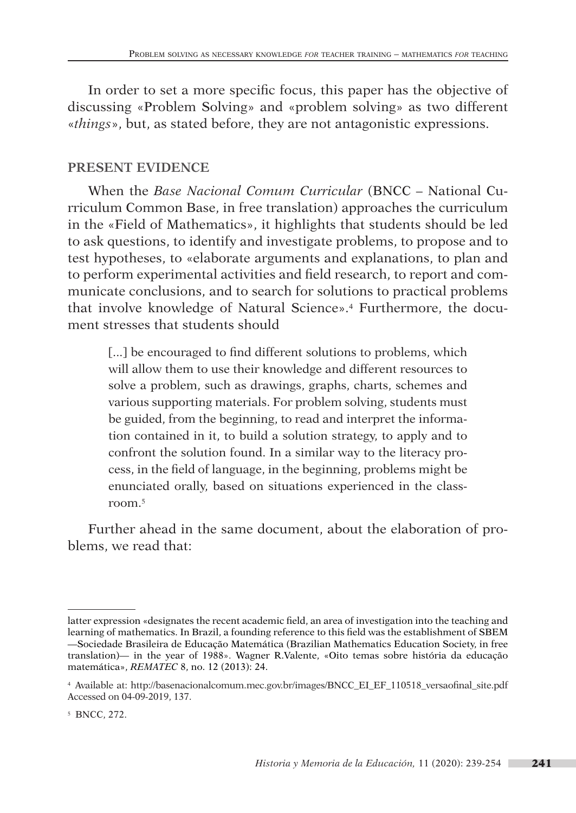In order to set a more specific focus, this paper has the objective of discussing «Problem Solving» and «problem solving» as two different «*things*», but, as stated before, they are not antagonistic expressions.

## **PRESENT EVIDENCE**

When the *Base Nacional Comum Curricular* (BNCC – National Curriculum Common Base, in free translation) approaches the curriculum in the «Field of Mathematics», it highlights that students should be led to ask questions, to identify and investigate problems, to propose and to test hypotheses, to «elaborate arguments and explanations, to plan and to perform experimental activities and field research, to report and communicate conclusions, and to search for solutions to practical problems that involve knowledge of Natural Science».4 Furthermore, the document stresses that students should

[...] be encouraged to find different solutions to problems, which will allow them to use their knowledge and different resources to solve a problem, such as drawings, graphs, charts, schemes and various supporting materials. For problem solving, students must be guided, from the beginning, to read and interpret the information contained in it, to build a solution strategy, to apply and to confront the solution found. In a similar way to the literacy process, in the field of language, in the beginning, problems might be enunciated orally, based on situations experienced in the classroom.5

Further ahead in the same document, about the elaboration of problems, we read that:

latter expression «designates the recent academic field, an area of investigation into the teaching and learning of mathematics. In Brazil, a founding reference to this field was the establishment of SBEM —Sociedade Brasileira de Educação Matemática (Brazilian Mathematics Education Society, in free translation)— in the year of 1988». Wagner R.Valente, «Oito temas sobre história da educação matemática», *REMATEC* 8, no. 12 (2013): 24.

<sup>4</sup> Available at: [http://basenacionalcomum.mec.gov.br/images/BNCC\\_EI\\_EF\\_110518\\_versaofinal\\_site.pdf](http://basenacionalcomum.mec.gov.br/images/BNCC_EI_EF_110518_versaofinal_site.pdf) Accessed on 04-09-2019, 137.

<sup>5</sup> BNCC, 272.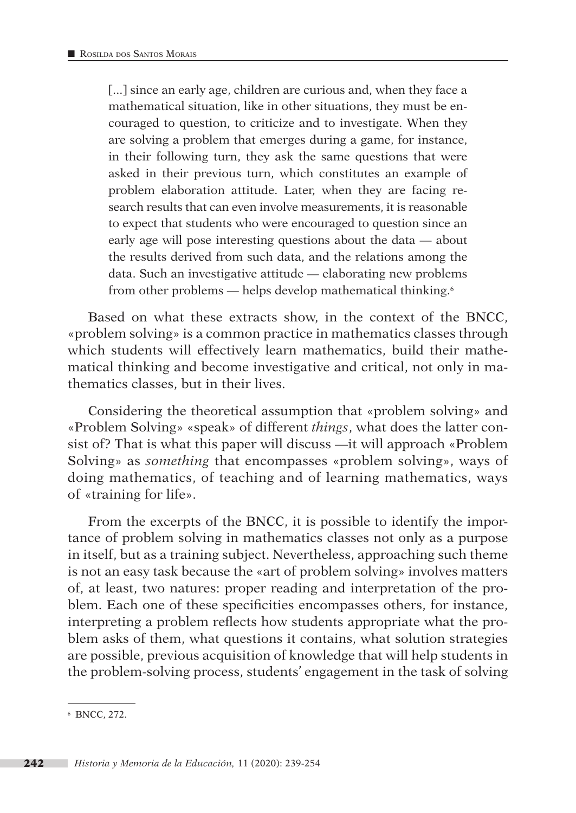[...] since an early age, children are curious and, when they face a mathematical situation, like in other situations, they must be encouraged to question, to criticize and to investigate. When they are solving a problem that emerges during a game, for instance, in their following turn, they ask the same questions that were asked in their previous turn, which constitutes an example of problem elaboration attitude. Later, when they are facing research results that can even involve measurements, it is reasonable to expect that students who were encouraged to question since an early age will pose interesting questions about the data — about the results derived from such data, and the relations among the data. Such an investigative attitude — elaborating new problems from other problems — helps develop mathematical thinking.6

Based on what these extracts show, in the context of the BNCC, «problem solving» is a common practice in mathematics classes through which students will effectively learn mathematics, build their mathematical thinking and become investigative and critical, not only in mathematics classes, but in their lives.

Considering the theoretical assumption that «problem solving» and «Problem Solving» «speak» of different *things*, what does the latter consist of? That is what this paper will discuss —it will approach «Problem Solving» as *something* that encompasses «problem solving», ways of doing mathematics, of teaching and of learning mathematics, ways of «training for life».

From the excerpts of the BNCC, it is possible to identify the importance of problem solving in mathematics classes not only as a purpose in itself, but as a training subject. Nevertheless, approaching such theme is not an easy task because the «art of problem solving» involves matters of, at least, two natures: proper reading and interpretation of the problem. Each one of these specificities encompasses others, for instance, interpreting a problem reflects how students appropriate what the problem asks of them, what questions it contains, what solution strategies are possible, previous acquisition of knowledge that will help students in the problem-solving process, students' engagement in the task of solving

<sup>6</sup> BNCC, 272.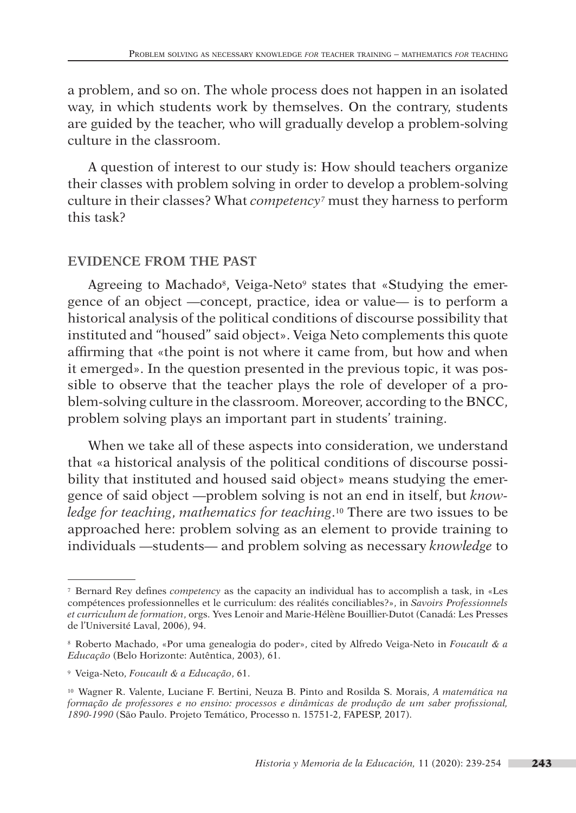a problem, and so on. The whole process does not happen in an isolated way, in which students work by themselves. On the contrary, students are guided by the teacher, who will gradually develop a problem-solving culture in the classroom.

A question of interest to our study is: How should teachers organize their classes with problem solving in order to develop a problem-solving culture in their classes? What *competency7* must they harness to perform this task?

## **EVIDENCE FROM THE PAST**

Agreeing to Machado<sup>8</sup>, Veiga-Neto<sup>9</sup> states that «Studying the emergence of an object —concept, practice, idea or value— is to perform a historical analysis of the political conditions of discourse possibility that instituted and "housed" said object». Veiga Neto complements this quote affirming that «the point is not where it came from, but how and when it emerged». In the question presented in the previous topic, it was possible to observe that the teacher plays the role of developer of a problem-solving culture in the classroom. Moreover, according to the BNCC, problem solving plays an important part in students' training.

When we take all of these aspects into consideration, we understand that «a historical analysis of the political conditions of discourse possibility that instituted and housed said object» means studying the emergence of said object —problem solving is not an end in itself, but *knowledge for teaching*, *mathematics for teaching*.10 There are two issues to be approached here: problem solving as an element to provide training to individuals —students— and problem solving as necessary *knowledge* to

<sup>7</sup> Bernard Rey defines *competency* as the capacity an individual has to accomplish a task, in «Les compétences professionnelles et le curriculum: des réalités conciliables?», in *Savoirs Professionnels et curriculum de formation*, orgs. Yves Lenoir and Marie-Hélène Bouillier-Dutot (Canadá: Les Presses de l'Université Laval, 2006), 94.

<sup>8</sup> Roberto Machado, «Por uma genealogia do poder», cited by Alfredo Veiga-Neto in *Foucault & a Educação* (Belo Horizonte: Autêntica, 2003), 61.

<sup>9</sup> Veiga-Neto, *Foucault & a Educação*, 61.

<sup>10</sup> Wagner R. Valente, Luciane F. Bertini, Neuza B. Pinto and Rosilda S. Morais, *A matemática na formação de professores e no ensino: processos e dinâmicas de produção de um saber profissional, 1890-1990* (São Paulo. Projeto Temático, Processo n. 15751-2, FAPESP, 2017).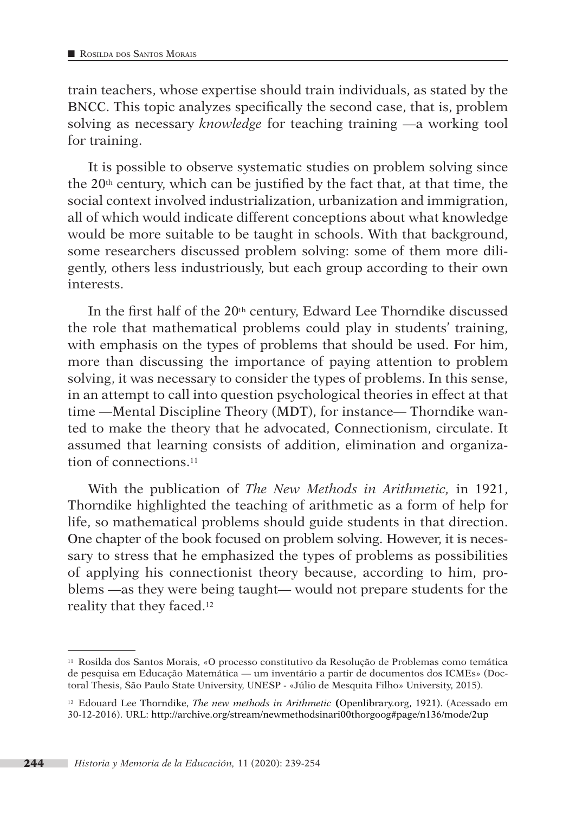train teachers, whose expertise should train individuals, as stated by the BNCC. This topic analyzes specifically the second case, that is, problem solving as necessary *knowledge* for teaching training —a working tool for training.

It is possible to observe systematic studies on problem solving since the  $20<sup>th</sup>$  century, which can be justified by the fact that, at that time, the social context involved industrialization, urbanization and immigration, all of which would indicate different conceptions about what knowledge would be more suitable to be taught in schools. With that background, some researchers discussed problem solving: some of them more diligently, others less industriously, but each group according to their own interests.

In the first half of the  $20<sup>th</sup>$  century, Edward Lee Thorndike discussed the role that mathematical problems could play in students' training, with emphasis on the types of problems that should be used. For him, more than discussing the importance of paying attention to problem solving, it was necessary to consider the types of problems. In this sense, in an attempt to call into question psychological theories in effect at that time —Mental Discipline Theory (MDT), for instance— Thorndike wanted to make the theory that he advocated, Connectionism, circulate. It assumed that learning consists of addition, elimination and organization of connections.11

With the publication of *The New Methods in Arithmetic,* in 1921, Thorndike highlighted the teaching of arithmetic as a form of help for life, so mathematical problems should guide students in that direction. One chapter of the book focused on problem solving. However, it is necessary to stress that he emphasized the types of problems as possibilities of applying his connectionist theory because, according to him, problems —as they were being taught— would not prepare students for the reality that they faced.12

<sup>11</sup> Rosilda dos Santos Morais, «O processo constitutivo da Resolução de Problemas como temática de pesquisa em Educação Matemática — um inventário a partir de documentos dos ICMEs» (Doctoral Thesis, São Paulo State University, UNESP - «Júlio de Mesquita Filho» University, 2015).

<sup>12</sup> Edouard Lee Thorndike, *The new methods in Arithmetic* **(**Openlibrary.org, 1921). (Acessado em 30-12-2016). URL: http://archive.org/stream/newmethodsinari00thorgoog#page/n136/mode/2up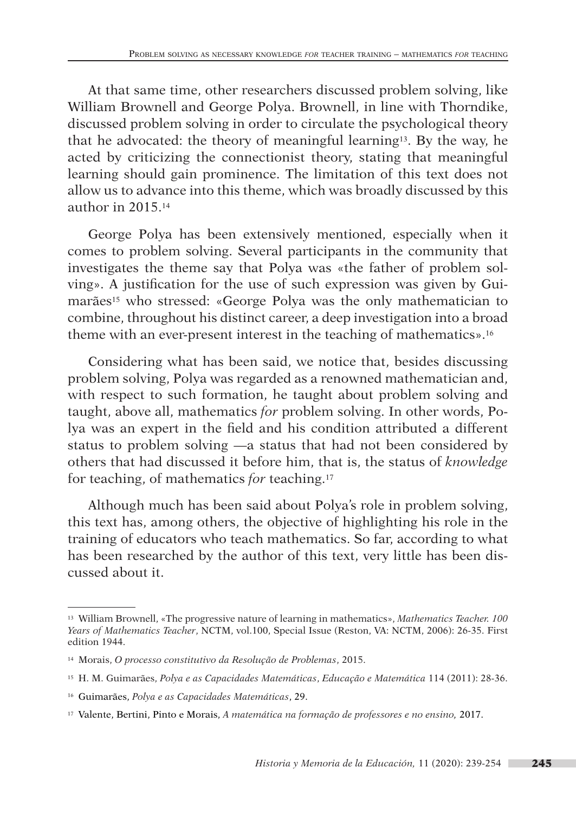At that same time, other researchers discussed problem solving, like William Brownell and George Polya. Brownell, in line with Thorndike, discussed problem solving in order to circulate the psychological theory that he advocated: the theory of meaningful learning13. By the way, he acted by criticizing the connectionist theory, stating that meaningful learning should gain prominence. The limitation of this text does not allow us to advance into this theme, which was broadly discussed by this author in 2015.14

George Polya has been extensively mentioned, especially when it comes to problem solving. Several participants in the community that investigates the theme say that Polya was «the father of problem solving». A justification for the use of such expression was given by Guimarães<sup>15</sup> who stressed: «George Polya was the only mathematician to combine, throughout his distinct career, a deep investigation into a broad theme with an ever-present interest in the teaching of mathematics».16

Considering what has been said, we notice that, besides discussing problem solving, Polya was regarded as a renowned mathematician and, with respect to such formation, he taught about problem solving and taught, above all, mathematics *for* problem solving. In other words, Polya was an expert in the field and his condition attributed a different status to problem solving —a status that had not been considered by others that had discussed it before him, that is, the status of *knowledge* for teaching, of mathematics *for* teaching.17

Although much has been said about Polya's role in problem solving, this text has, among others, the objective of highlighting his role in the training of educators who teach mathematics. So far, according to what has been researched by the author of this text, very little has been discussed about it.

<sup>13</sup> William Brownell, «The progressive nature of learning in mathematics», *Mathematics Teacher. 100 Years of Mathematics Teacher*, NCTM, vol.100, Special Issue (Reston, VA: NCTM, 2006): 26-35. First edition 1944.

<sup>14</sup> Morais, *O processo constitutivo da Resolução de Problemas*, 2015.

<sup>15</sup> H. M. Guimarães, *Polya e as Capacidades Matemáticas*, *Educação e Matemática* 114 (2011): 28-36.

<sup>16</sup> Guimarães, *Polya e as Capacidades Matemáticas*, 29.

<sup>17</sup> Valente, Bertini, Pinto e Morais, *A matemática na formação de professores e no ensino,* 2017.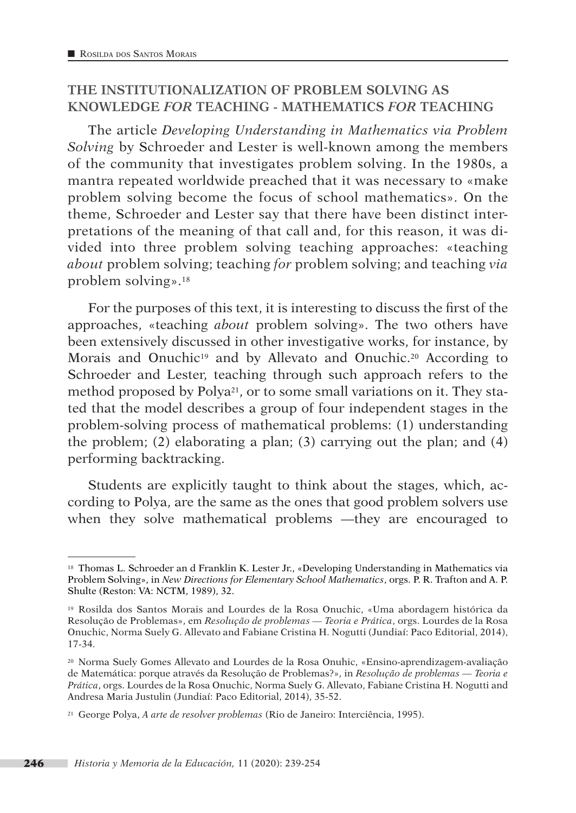## **THE INSTITUTIONALIZATION OF PROBLEM SOLVING AS KNOWLEDGE** *FOR* **TEACHING - MATHEMATICS** *FOR* **TEACHING**

The article *Developing Understanding in Mathematics via Problem Solving* by Schroeder and Lester is well-known among the members of the community that investigates problem solving. In the 1980s, a mantra repeated worldwide preached that it was necessary to «make problem solving become the focus of school mathematics». On the theme, Schroeder and Lester say that there have been distinct interpretations of the meaning of that call and, for this reason, it was divided into three problem solving teaching approaches: «teaching *about* problem solving; teaching *for* problem solving; and teaching *via* problem solving».18

For the purposes of this text, it is interesting to discuss the first of the approaches, «teaching *about* problem solving». The two others have been extensively discussed in other investigative works, for instance, by Morais and Onuchic<sup>19</sup> and by Allevato and Onuchic.<sup>20</sup> According to Schroeder and Lester, teaching through such approach refers to the method proposed by Polya21, or to some small variations on it. They stated that the model describes a group of four independent stages in the problem-solving process of mathematical problems: (1) understanding the problem; (2) elaborating a plan; (3) carrying out the plan; and (4) performing backtracking.

Students are explicitly taught to think about the stages, which, according to Polya, are the same as the ones that good problem solvers use when they solve mathematical problems —they are encouraged to

<sup>18</sup> Thomas L. Schroeder an d Franklin K. Lester Jr., «Developing Understanding in Mathematics via Problem Solving», in *New Directions for Elementary School Mathematics*, orgs. P. R. Trafton and A. P. Shulte (Reston: VA: NCTM, 1989), 32.

<sup>19</sup> Rosilda dos Santos Morais and Lourdes de la Rosa Onuchic, «Uma abordagem histórica da Resolução de Problemas», em *Resolução de problemas — Teoria e Prática*, orgs. Lourdes de la Rosa Onuchic, Norma Suely G. Allevato and Fabiane Cristina H. Nogutti (Jundiaí: Paco Editorial, 2014), 17-34.

<sup>20</sup> Norma Suely Gomes Allevato and Lourdes de la Rosa Onuhic, «Ensino-aprendizagem-avaliação de Matemática: porque através da Resolução de Problemas?», in *Resolução de problemas — Teoria e Prática*, orgs. Lourdes de la Rosa Onuchic, Norma Suely G. Allevato, Fabiane Cristina H. Nogutti and Andresa Maria Justulin (Jundiaí: Paco Editorial, 2014), 35-52.

<sup>21</sup> George Polya, *A arte de resolver problemas* (Rio de Janeiro: Interciência, 1995).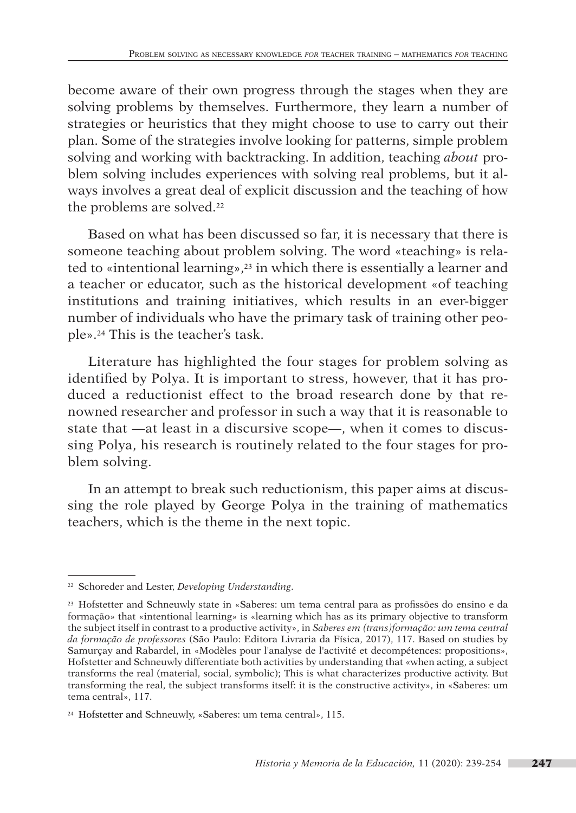become aware of their own progress through the stages when they are solving problems by themselves. Furthermore, they learn a number of strategies or heuristics that they might choose to use to carry out their plan. Some of the strategies involve looking for patterns, simple problem solving and working with backtracking. In addition, teaching *about* problem solving includes experiences with solving real problems, but it always involves a great deal of explicit discussion and the teaching of how the problems are solved.<sup>22</sup>

Based on what has been discussed so far, it is necessary that there is someone teaching about problem solving. The word «teaching» is related to «intentional learning»,23 in which there is essentially a learner and a teacher or educator, such as the historical development «of teaching institutions and training initiatives, which results in an ever-bigger number of individuals who have the primary task of training other people».24 This is the teacher's task.

Literature has highlighted the four stages for problem solving as identified by Polya. It is important to stress, however, that it has produced a reductionist effect to the broad research done by that renowned researcher and professor in such a way that it is reasonable to state that —at least in a discursive scope—, when it comes to discussing Polya, his research is routinely related to the four stages for problem solving.

In an attempt to break such reductionism, this paper aims at discussing the role played by George Polya in the training of mathematics teachers, which is the theme in the next topic.

<sup>22</sup> Schoreder and Lester, *Developing Understanding*.

<sup>23</sup> Hofstetter and Schneuwly state in «Saberes: um tema central para as profissões do ensino e da formação» that «intentional learning» is «learning which has as its primary objective to transform the subject itself in contrast to a productive activity», in *Saberes em (trans)formação: um tema central da formação de professores* (São Paulo: Editora Livraria da Física, 2017), 117. Based on studies by Samurçay and Rabardel, in «Modèles pour l'analyse de l'activité et decompétences: propositions», Hofstetter and Schneuwly differentiate both activities by understanding that «when acting, a subject transforms the real (material, social, symbolic); This is what characterizes productive activity. But transforming the real, the subject transforms itself: it is the constructive activity», in «Saberes: um tema central», 117.

<sup>24</sup> Hofstetter and Schneuwly, «Saberes: um tema central», 115.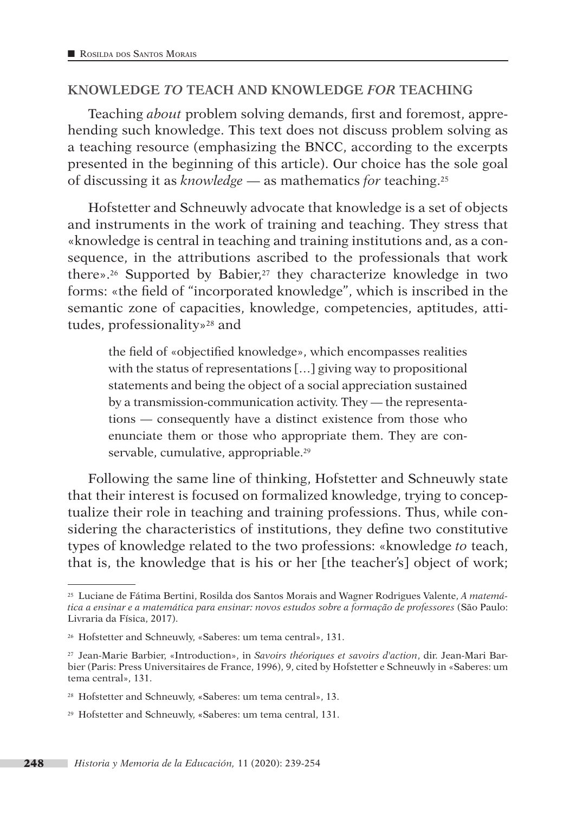#### **KNOWLEDGE** *TO* **TEACH AND KNOWLEDGE** *FOR* **TEACHING**

Teaching *about* problem solving demands, first and foremost, apprehending such knowledge. This text does not discuss problem solving as a teaching resource (emphasizing the BNCC, according to the excerpts presented in the beginning of this article). Our choice has the sole goal of discussing it as *knowledge* — as mathematics *for* teaching.25

Hofstetter and Schneuwly advocate that knowledge is a set of objects and instruments in the work of training and teaching. They stress that «knowledge is central in teaching and training institutions and, as a consequence, in the attributions ascribed to the professionals that work there».26 Supported by Babier,27 they characterize knowledge in two forms: «the field of "incorporated knowledge", which is inscribed in the semantic zone of capacities, knowledge, competencies, aptitudes, attitudes, professionality»28 and

the field of «objectified knowledge», which encompasses realities with the status of representations […] giving way to propositional statements and being the object of a social appreciation sustained by a transmission-communication activity. They — the representations — consequently have a distinct existence from those who enunciate them or those who appropriate them. They are conservable, cumulative, appropriable.<sup>29</sup>

Following the same line of thinking, Hofstetter and Schneuwly state that their interest is focused on formalized knowledge, trying to conceptualize their role in teaching and training professions. Thus, while considering the characteristics of institutions, they define two constitutive types of knowledge related to the two professions: «knowledge *to* teach, that is, the knowledge that is his or her [the teacher's] object of work;

<sup>25</sup> Luciane de Fátima Bertini, Rosilda dos Santos Morais and Wagner Rodrigues Valente, *A matemática a ensinar e a matemática para ensinar: novos estudos sobre a formação de professores* (São Paulo: Livraria da Física, 2017).

<sup>26</sup> Hofstetter and Schneuwly, «Saberes: um tema central», 131.

<sup>27</sup> Jean-Marie Barbier, «Introduction», in *Savoirs théoriques et savoirs d'action*, dir. Jean-Mari Barbier (Paris: Press Universitaires de France, 1996), 9, cited by Hofstetter e Schneuwly in «Saberes: um tema central», 131.

<sup>28</sup> Hofstetter and Schneuwly, «Saberes: um tema central», 13.

<sup>29</sup> Hofstetter and Schneuwly, «Saberes: um tema central, 131.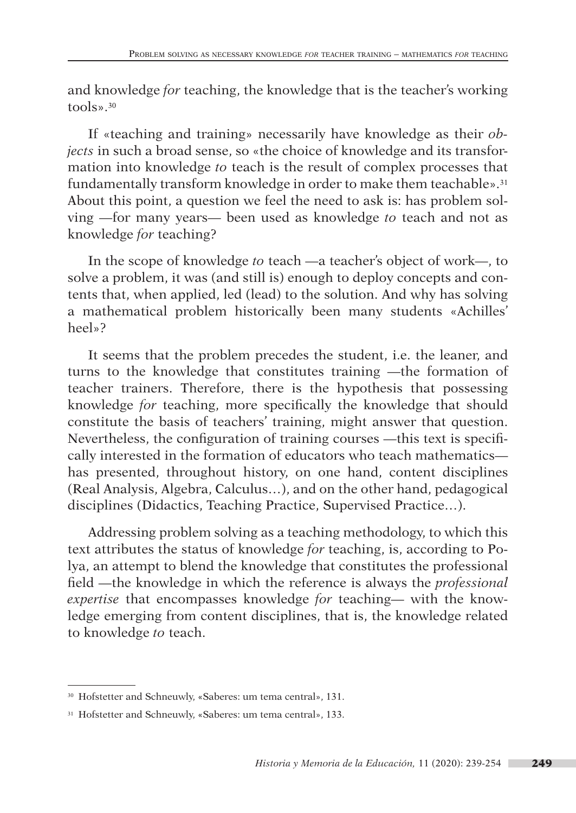and knowledge *for* teaching, the knowledge that is the teacher's working tools».30

If «teaching and training» necessarily have knowledge as their *objects* in such a broad sense, so «the choice of knowledge and its transformation into knowledge *to* teach is the result of complex processes that fundamentally transform knowledge in order to make them teachable».<sup>31</sup> About this point, a question we feel the need to ask is: has problem solving —for many years— been used as knowledge *to* teach and not as knowledge *for* teaching?

In the scope of knowledge *to* teach —a teacher's object of work—, to solve a problem, it was (and still is) enough to deploy concepts and contents that, when applied, led (lead) to the solution. And why has solving a mathematical problem historically been many students «Achilles' heel»?

It seems that the problem precedes the student, i.e. the leaner, and turns to the knowledge that constitutes training —the formation of teacher trainers. Therefore, there is the hypothesis that possessing knowledge *for* teaching, more specifically the knowledge that should constitute the basis of teachers' training, might answer that question. Nevertheless, the configuration of training courses —this text is specifically interested in the formation of educators who teach mathematics has presented, throughout history, on one hand, content disciplines (Real Analysis, Algebra, Calculus…), and on the other hand, pedagogical disciplines (Didactics, Teaching Practice, Supervised Practice…).

Addressing problem solving as a teaching methodology, to which this text attributes the status of knowledge *for* teaching, is, according to Polya, an attempt to blend the knowledge that constitutes the professional field —the knowledge in which the reference is always the *professional expertise* that encompasses knowledge *for* teaching— with the knowledge emerging from content disciplines, that is, the knowledge related to knowledge *to* teach.

<sup>30</sup> Hofstetter and Schneuwly, «Saberes: um tema central», 131.

<sup>31</sup> Hofstetter and Schneuwly, «Saberes: um tema central», 133.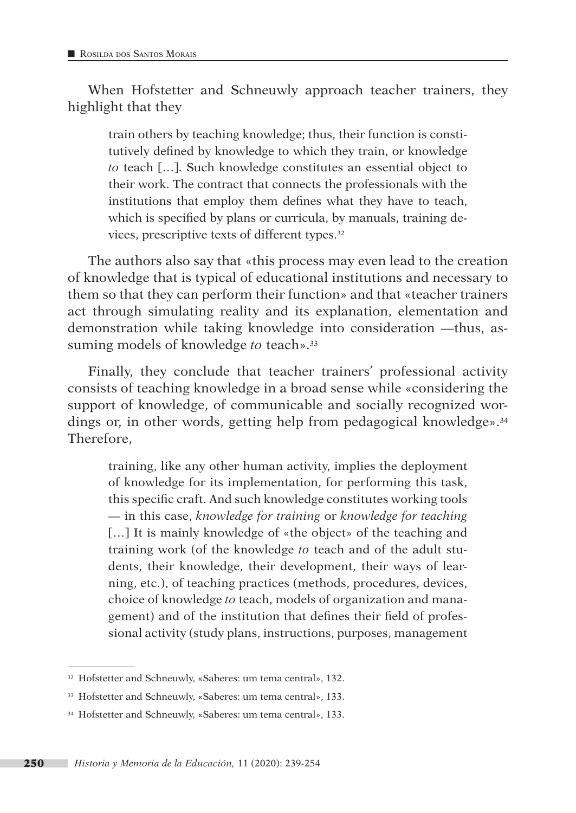When Hofstetter and Schneuwly approach teacher trainers, they highlight that they

train others by teaching knowledge; thus, their function is constitutively defined by knowledge to which they train, or knowledge *to* teach […]. Such knowledge constitutes an essential object to their work. The contract that connects the professionals with the institutions that employ them defines what they have to teach, which is specified by plans or curricula, by manuals, training devices, prescriptive texts of different types.32

The authors also say that «this process may even lead to the creation of knowledge that is typical of educational institutions and necessary to them so that they can perform their function» and that «teacher trainers act through simulating reality and its explanation, elementation and demonstration while taking knowledge into consideration —thus, assuming models of knowledge *to* teach».33

Finally, they conclude that teacher trainers' professional activity consists of teaching knowledge in a broad sense while «considering the support of knowledge, of communicable and socially recognized wordings or, in other words, getting help from pedagogical knowledge».<sup>34</sup> Therefore,

training, like any other human activity, implies the deployment of knowledge for its implementation, for performing this task, this specific craft. And such knowledge constitutes working tools — in this case, *knowledge for training* or *knowledge for teaching* [...] It is mainly knowledge of «the object» of the teaching and training work (of the knowledge *to* teach and of the adult students, their knowledge, their development, their ways of learning, etc.), of teaching practices (methods, procedures, devices, choice of knowledge *to* teach, models of organization and management) and of the institution that defines their field of professional activity (study plans, instructions, purposes, management

<sup>32</sup> Hofstetter and Schneuwly, «Saberes: um tema central», 132.

<sup>33</sup> Hofstetter and Schneuwly, «Saberes: um tema central», 133.

<sup>34</sup> Hofstetter and Schneuwly, «Saberes: um tema central», 133.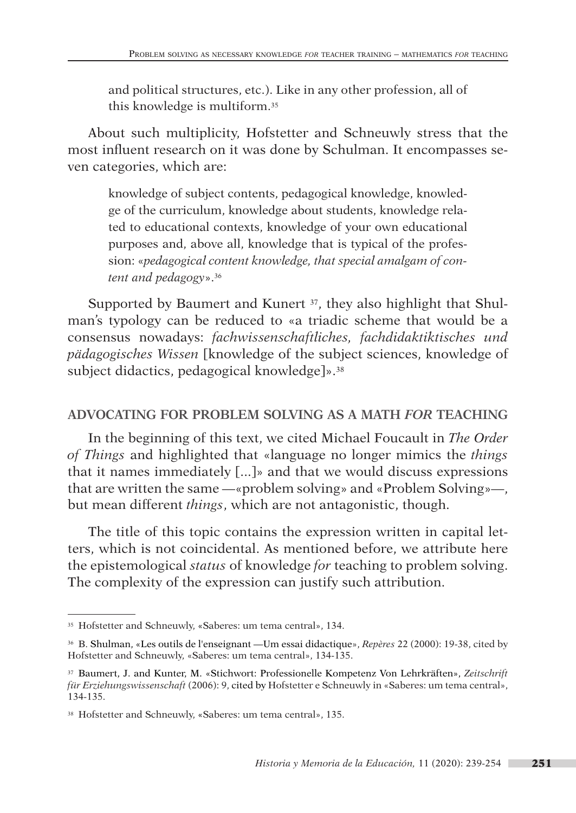and political structures, etc.). Like in any other profession, all of this knowledge is multiform.35

About such multiplicity, Hofstetter and Schneuwly stress that the most influent research on it was done by Schulman. It encompasses seven categories, which are:

knowledge of subject contents, pedagogical knowledge, knowledge of the curriculum, knowledge about students, knowledge related to educational contexts, knowledge of your own educational purposes and, above all, knowledge that is typical of the profession: «*pedagogical content knowledge, that special amalgam of content and pedagogy*».36

Supported by Baumert and Kunert <sup>37</sup>, they also highlight that Shulman's typology can be reduced to «a triadic scheme that would be a consensus nowadays: *fachwissenschaftliches, fachdidaktiktisches und pädagogisches Wissen* [knowledge of the subject sciences, knowledge of subject didactics, pedagogical knowledge]».38

## **ADVOCATING FOR PROBLEM SOLVING AS A MATH** *FOR* **TEACHING**

In the beginning of this text, we cited Michael Foucault in *The Order of Things* and highlighted that «language no longer mimics the *things* that it names immediately [...]» and that we would discuss expressions that are written the same —«problem solving» and «Problem Solving»—, but mean different *things*, which are not antagonistic, though.

The title of this topic contains the expression written in capital letters, which is not coincidental. As mentioned before, we attribute here the epistemological *status* of knowledge *for* teaching to problem solving. The complexity of the expression can justify such attribution.

<sup>35</sup> Hofstetter and Schneuwly, «Saberes: um tema central», 134.

<sup>36</sup> B. Shulman, «Les outils de l'enseignant —Um essai didactique», *Repères* 22 (2000): 19-38, cited by Hofstetter and Schneuwly, «Saberes: um tema central», 134-135.

<sup>37</sup> Baumert, J. and Kunter, M. «Stichwort: Professionelle Kompetenz Von Lehrkräften», *Zeitschrift für Erziehungswissenschaft* (2006): 9, cited by Hofstetter e Schneuwly in «Saberes: um tema central», 134-135.

<sup>38</sup> Hofstetter and Schneuwly, «Saberes: um tema central», 135.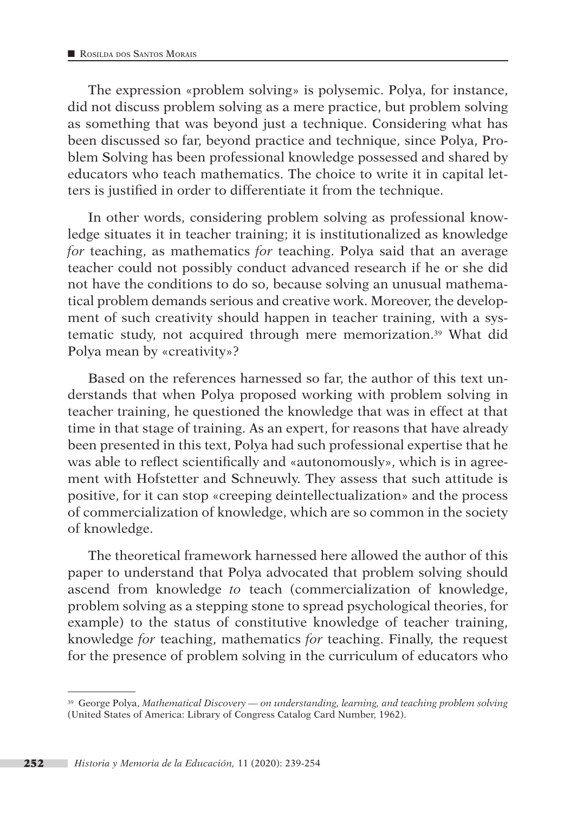The expression «problem solving» is polysemic. Polya, for instance, did not discuss problem solving as a mere practice, but problem solving as something that was beyond just a technique. Considering what has been discussed so far, beyond practice and technique, since Polya, Problem Solving has been professional knowledge possessed and shared by educators who teach mathematics. The choice to write it in capital letters is justified in order to differentiate it from the technique.

In other words, considering problem solving as professional knowledge situates it in teacher training; it is institutionalized as knowledge *for* teaching, as mathematics *for* teaching. Polya said that an average teacher could not possibly conduct advanced research if he or she did not have the conditions to do so, because solving an unusual mathematical problem demands serious and creative work. Moreover, the development of such creativity should happen in teacher training, with a systematic study, not acquired through mere memorization.39 What did Polya mean by «creativity»?

Based on the references harnessed so far, the author of this text understands that when Polya proposed working with problem solving in teacher training, he questioned the knowledge that was in effect at that time in that stage of training. As an expert, for reasons that have already been presented in this text, Polya had such professional expertise that he was able to reflect scientifically and «autonomously», which is in agreement with Hofstetter and Schneuwly. They assess that such attitude is positive, for it can stop «creeping deintellectualization» and the process of commercialization of knowledge, which are so common in the society of knowledge.

The theoretical framework harnessed here allowed the author of this paper to understand that Polya advocated that problem solving should ascend from knowledge *to* teach (commercialization of knowledge, problem solving as a stepping stone to spread psychological theories, for example) to the status of constitutive knowledge of teacher training, knowledge *for* teaching, mathematics *for* teaching. Finally, the request for the presence of problem solving in the curriculum of educators who

<sup>39</sup> George Polya, *Mathematical Discovery — on understanding, learning, and teaching problem solving*  (United States of America: Library of Congress Catalog Card Number, 1962).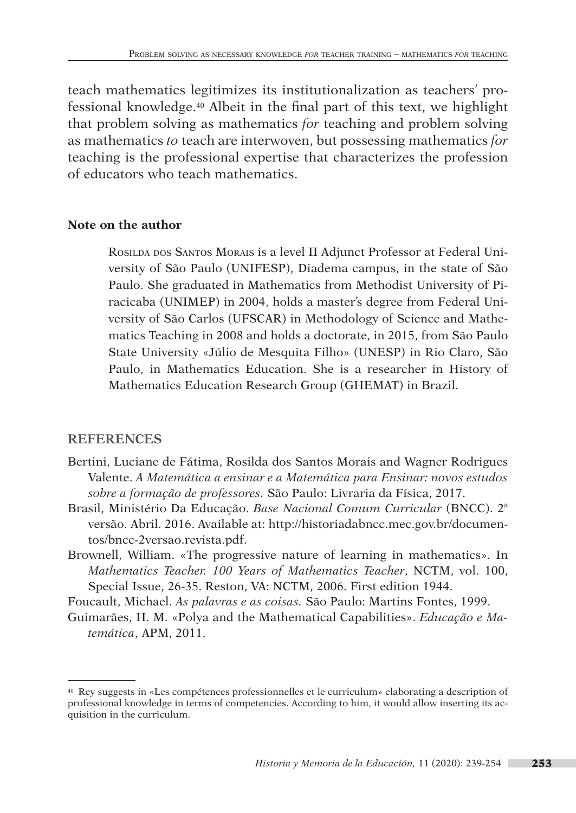teach mathematics legitimizes its institutionalization as teachers' professional knowledge.40 Albeit in the final part of this text, we highlight that problem solving as mathematics *for* teaching and problem solving as mathematics *to* teach are interwoven, but possessing mathematics *for* teaching is the professional expertise that characterizes the profession of educators who teach mathematics.

#### **Note on the author**

Rosilda dos Santos Morais is a level II Adjunct Professor at Federal University of São Paulo (UNIFESP), Diadema campus, in the state of São Paulo. She graduated in Mathematics from Methodist University of Piracicaba (UNIMEP) in 2004, holds a master's degree from Federal University of São Carlos (UFSCAR) in Methodology of Science and Mathematics Teaching in 2008 and holds a doctorate, in 2015, from São Paulo State University «Júlio de Mesquita Filho» (UNESP) in Rio Claro, São Paulo, in Mathematics Education. She is a researcher in History of Mathematics Education Research Group (GHEMAT) in Brazil.

## **REFERENCES**

- Bertini, Luciane de Fátima, Rosilda dos Santos Morais and Wagner Rodrigues Valente. *A Matemática a ensinar e a Matemática para Ensinar: novos estudos sobre a formação de professores.* São Paulo: Livraria da Física, 2017.
- Brasil, Ministério Da Educação. *Base Nacional Comum Curricular* (BNCC). 2ª versão. Abril. 2016. Available at: [http://historiadabncc.mec.gov.br/documen](http://historiadabncc.mec.gov.br/documentos/bncc-2versao.revista.pdf)[tos/bncc-2versao.revista.pdf.](http://historiadabncc.mec.gov.br/documentos/bncc-2versao.revista.pdf)
- Brownell, William. «The progressive nature of learning in mathematics». In *Mathematics Teacher. 100 Years of Mathematics Teacher*, NCTM, vol. 100, Special Issue, 26-35. Reston, VA: NCTM, 2006. First edition 1944.

Foucault, Michael. *As palavras e as coisas.* São Paulo: Martins Fontes, 1999.

Guimarães, H. M. «Polya and the Mathematical Capabilities». *Educação e Matemática*, APM, 2011.

<sup>40</sup> Rey suggests in «Les compétences professionnelles et le curriculum» elaborating a description of professional knowledge in terms of competencies. According to him, it would allow inserting its acquisition in the curriculum.